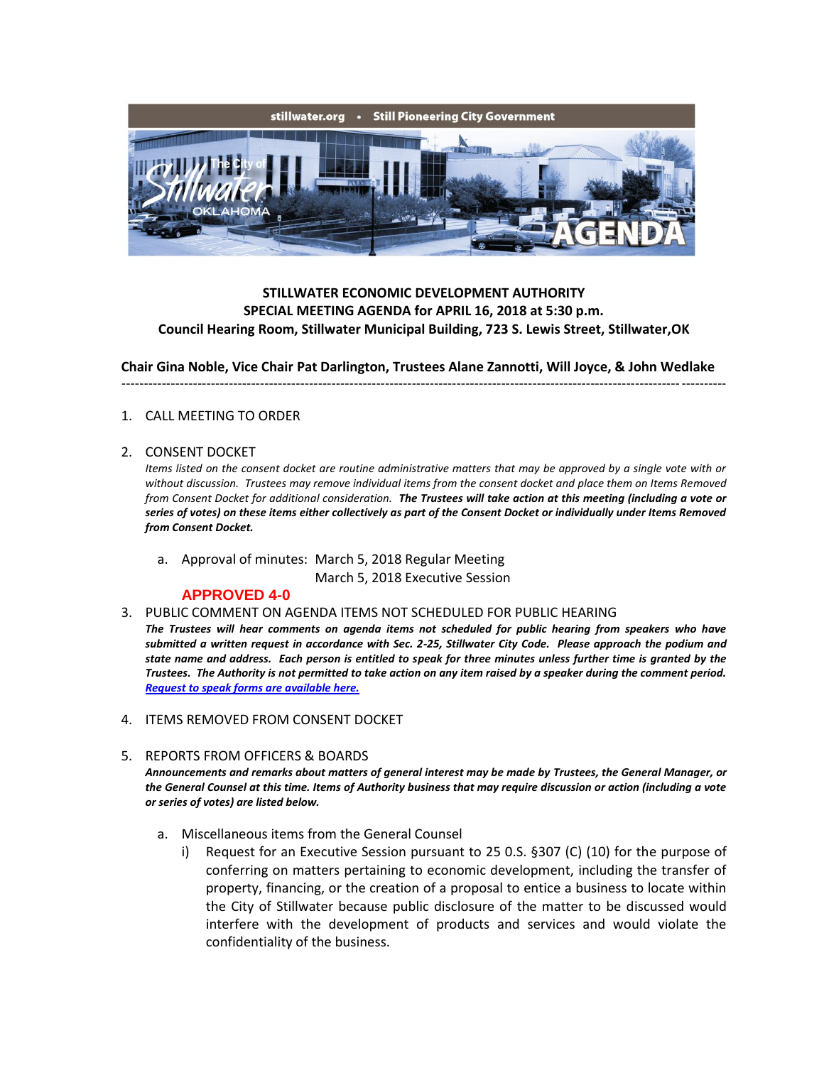

# **STILLWATER ECONOMIC DEVELOPMENT AUTHORITY SPECIAL MEETING AGENDA for APRIL 16, 2018 at 5:30 p.m. Council Hearing Room, Stillwater Municipal Building, 723 S. Lewis Street, Stillwater,OK**

**Chair Gina Noble, Vice Chair Pat Darlington, Trustees Alane Zannotti, Will Joyce, & John Wedlake**

---------------------------------------------------------------------------------------------------------------------------------------

### 1. CALL MEETING TO ORDER

### 2. CONSENT DOCKET

*Items listed on the consent docket are routine administrative matters that may be approved by a single vote with or without discussion. Trustees may remove individual items from the consent docket and place them on Items Removed from Consent Docket for additional consideration. The Trustees will take action at this meeting (including a vote or series of votes) on these items either collectively as part of the Consent Docket or individually under Items Removed from Consent Docket.*

a. Approval of minutes: March 5, 2018 Regular Meeting March 5, 2018 Executive Session

### **APPROVED 4-0**

- 3. PUBLIC COMMENT ON AGENDA ITEMS NOT SCHEDULED FOR PUBLIC HEARING
- *The Trustees will hear comments on agenda items not scheduled for public hearing from speakers who have submitted a written request in accordance with Sec. 2-25, Stillwater City Code. Please approach the podium and state name and address. Each person is entitled to speak for three minutes unless further time is granted by the Trustees. The Authority is not permitted to take action on any item raised by a speaker during the comment period. [Request to speak forms are available here.](http://stillwater.org/document/request_to_speak_at_city_council.php)*
- 4. ITEMS REMOVED FROM CONSENT DOCKET
- 5. REPORTS FROM OFFICERS & BOARDS

*Announcements and remarks about matters of general interest may be made by Trustees, the General Manager, or the General Counsel at this time. Items of Authority business that may require discussion or action (including a vote or series of votes) are listed below.*

- a. Miscellaneous items from the General Counsel
	- i) Request for an Executive Session pursuant to 25 0.S. §307 (C) (10) for the purpose of conferring on matters pertaining to economic development, including the transfer of property, financing, or the creation of a proposal to entice a business to locate within the City of Stillwater because public disclosure of the matter to be discussed would interfere with the development of products and services and would violate the confidentiality of the business.